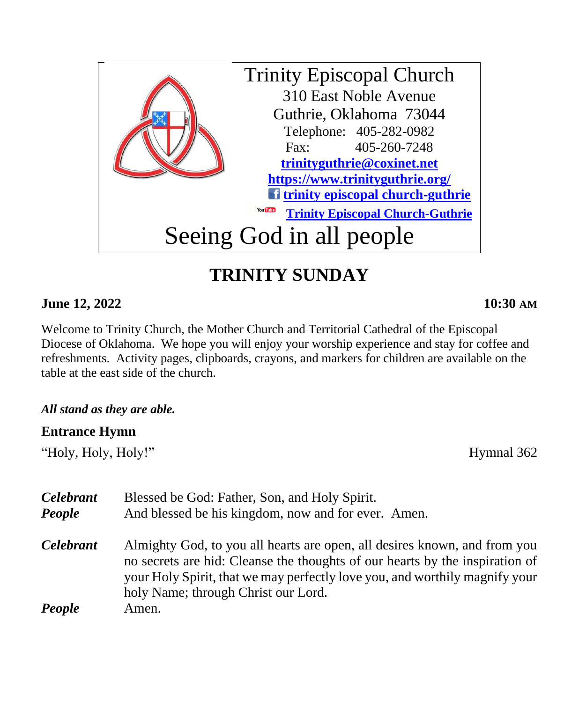|  | <b>Trinity Episcopal Church</b>                            |
|--|------------------------------------------------------------|
|  | 310 East Noble Avenue                                      |
|  | Guthrie, Oklahoma 73044                                    |
|  | Telephone: 405-282-0982                                    |
|  | 405-260-7248<br>$\text{Fax}:$                              |
|  | trinityguthrie@coxinet.net                                 |
|  | https://www.trinityguthrie.org/                            |
|  | <b>d</b> trinity episcopal church-guthrie                  |
|  | <b>You Tube</b><br><b>Trinity Episcopal Church-Guthrie</b> |
|  | Seeing God in all people                                   |

# **TRINITY SUNDAY**

#### **June 12, 2022** 10:30 AM

Welcome to Trinity Church, the Mother Church and Territorial Cathedral of the Episcopal Diocese of Oklahoma. We hope you will enjoy your worship experience and stay for coffee and refreshments. Activity pages, clipboards, crayons, and markers for children are available on the table at the east side of the church.

#### *All stand as they are able.*

#### **Entrance Hymn**

"Holy, Holy, Holy!" Hymnal 362

| <b>Celebrant</b> | Blessed be God: Father, Son, and Holy Spirit.                                                                                                                                                                                                                                   |  |
|------------------|---------------------------------------------------------------------------------------------------------------------------------------------------------------------------------------------------------------------------------------------------------------------------------|--|
| People           | And blessed be his kingdom, now and for ever. Amen.                                                                                                                                                                                                                             |  |
| <i>Celebrant</i> | Almighty God, to you all hearts are open, all desires known, and from you<br>no secrets are hid: Cleanse the thoughts of our hearts by the inspiration of<br>your Holy Spirit, that we may perfectly love you, and worthily magnify your<br>holy Name; through Christ our Lord. |  |
| People           | Amen.                                                                                                                                                                                                                                                                           |  |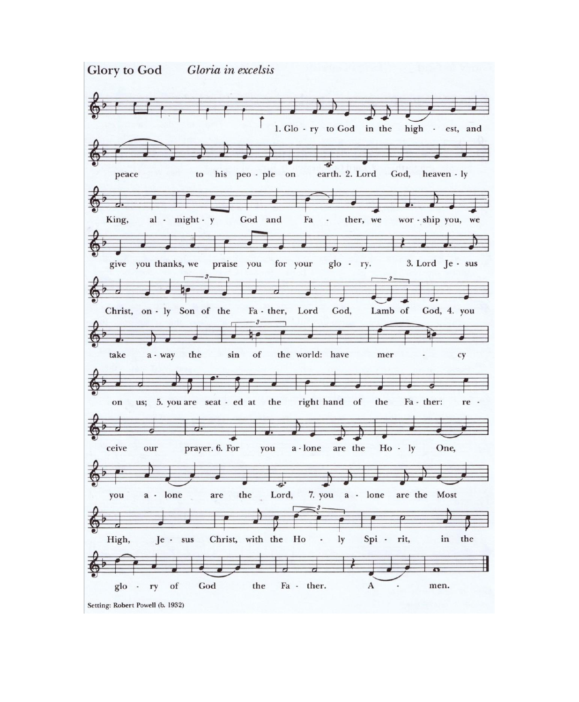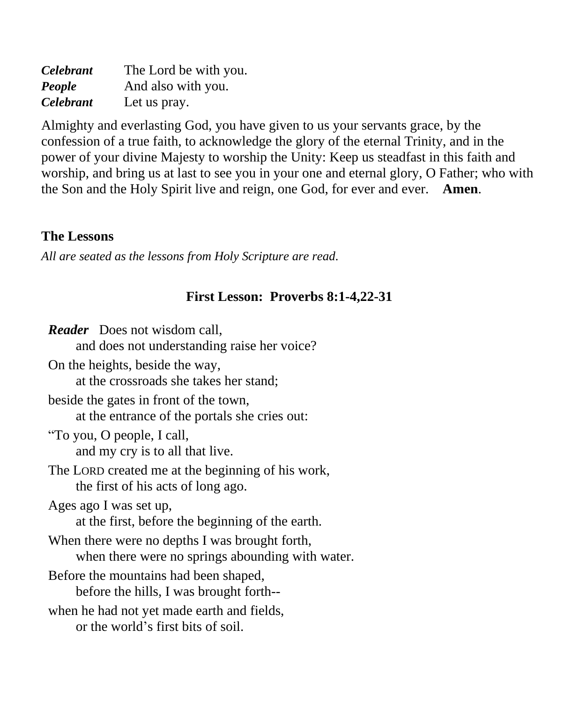| <i>Celebrant</i> | The Lord be with you. |
|------------------|-----------------------|
| People           | And also with you.    |
| <i>Celebrant</i> | Let us pray.          |

Almighty and everlasting God, you have given to us your servants grace, by the confession of a true faith, to acknowledge the glory of the eternal Trinity, and in the power of your divine Majesty to worship the Unity: Keep us steadfast in this faith and worship, and bring us at last to see you in your one and eternal glory, O Father; who with the Son and the Holy Spirit live and reign, one God, for ever and ever. **Amen**.

#### **The Lessons**

*All are seated as the lessons from Holy Scripture are read.* 

#### **First Lesson: Proverbs 8:1-4,22-31**

*Reader* Does not wisdom call, and does not understanding raise her voice? On the heights, beside the way, at the crossroads she takes her stand; beside the gates in front of the town, at the entrance of the portals she cries out: "To you, O people, I call, and my cry is to all that live. The LORD created me at the beginning of his work, the first of his acts of long ago. Ages ago I was set up, at the first, before the beginning of the earth. When there were no depths I was brought forth, when there were no springs abounding with water. Before the mountains had been shaped, before the hills, I was brought forth- when he had not yet made earth and fields, or the world's first bits of soil.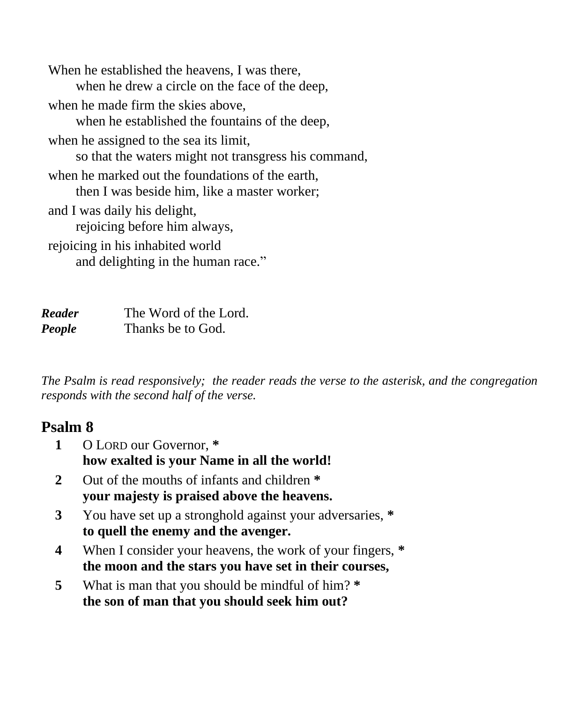When he established the heavens, I was there, when he drew a circle on the face of the deep, when he made firm the skies above, when he established the fountains of the deep, when he assigned to the sea its limit, so that the waters might not transgress his command, when he marked out the foundations of the earth. then I was beside him, like a master worker; and I was daily his delight, rejoicing before him always, rejoicing in his inhabited world and delighting in the human race."

| Reader | The Word of the Lord. |
|--------|-----------------------|
| People | Thanks be to God.     |

*The Psalm is read responsively; the reader reads the verse to the asterisk, and the congregation responds with the second half of the verse.*

### **Psalm 8**

- **1** O LORD our Governor, **\* how exalted is your Name in all the world!**
- **2** Out of the mouths of infants and children **\* your majesty is praised above the heavens.**
- **3** You have set up a stronghold against your adversaries, **\* to quell the enemy and the avenger.**
- **4** When I consider your heavens, the work of your fingers, **\* the moon and the stars you have set in their courses,**
- **5** What is man that you should be mindful of him? **\* the son of man that you should seek him out?**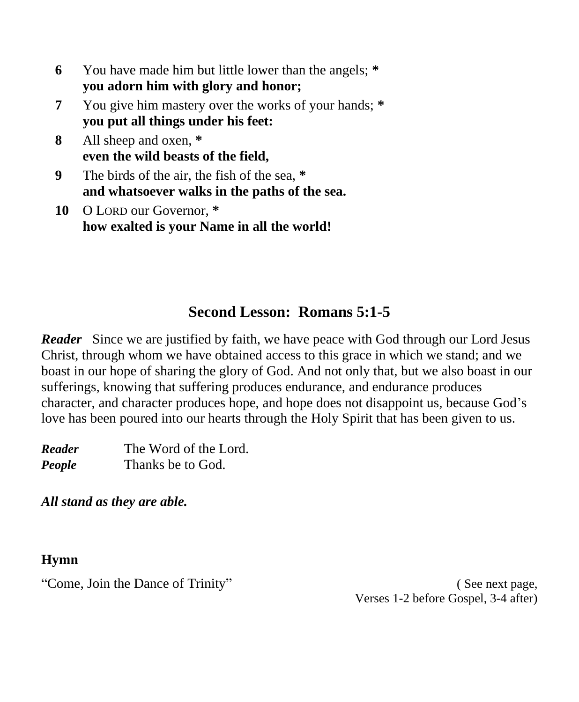- **6** You have made him but little lower than the angels; **\* you adorn him with glory and honor;**
- **7** You give him mastery over the works of your hands; **\* you put all things under his feet:**
- **8** All sheep and oxen, **\* even the wild beasts of the field,**
- **9** The birds of the air, the fish of the sea, **\* and whatsoever walks in the paths of the sea.**
- **10** O LORD our Governor, **\* how exalted is your Name in all the world!**

## **Second Lesson: Romans 5:1-5**

*Reader* Since we are justified by faith, we have peace with God through our Lord Jesus Christ, through whom we have obtained access to this grace in which we stand; and we boast in our hope of sharing the glory of God. And not only that, but we also boast in our sufferings, knowing that suffering produces endurance, and endurance produces character, and character produces hope, and hope does not disappoint us, because God's love has been poured into our hearts through the Holy Spirit that has been given to us.

| Reader | The Word of the Lord. |
|--------|-----------------------|
| People | Thanks be to God.     |

*All stand as they are able.*

#### **Hymn**

"Come, Join the Dance of Trinity" ( See next page,

Verses 1-2 before Gospel, 3-4 after)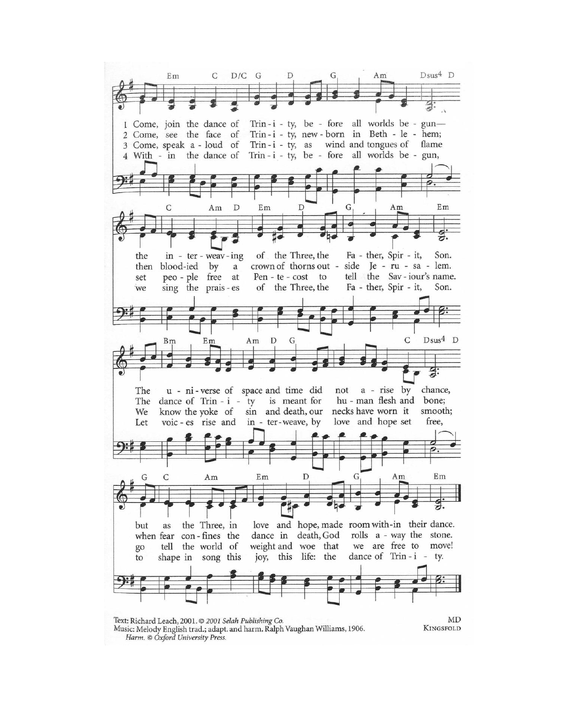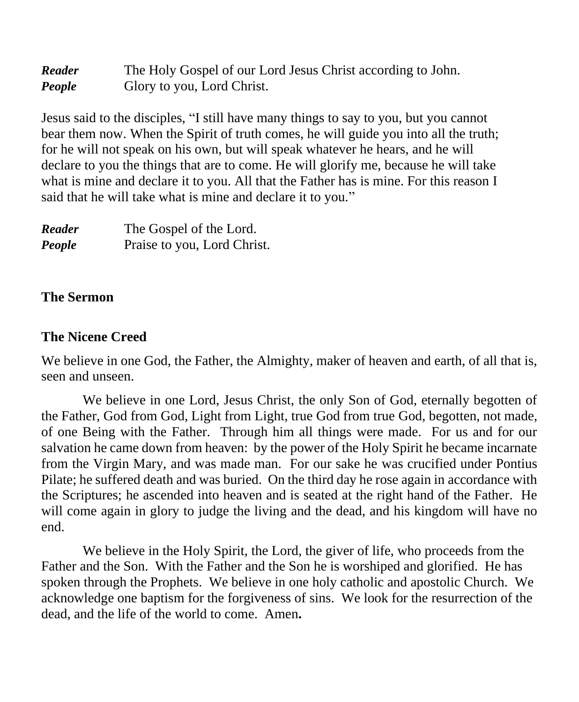*Reader* The Holy Gospel of our Lord Jesus Christ according to John. *People* Glory to you, Lord Christ.

Jesus said to the disciples, "I still have many things to say to you, but you cannot bear them now. When the Spirit of truth comes, he will guide you into all the truth; for he will not speak on his own, but will speak whatever he hears, and he will declare to you the things that are to come. He will glorify me, because he will take what is mine and declare it to you. All that the Father has is mine. For this reason I said that he will take what is mine and declare it to you."

| Reader | The Gospel of the Lord.     |
|--------|-----------------------------|
| People | Praise to you, Lord Christ. |

#### **The Sermon**

#### **The Nicene Creed**

We believe in one God, the Father, the Almighty, maker of heaven and earth, of all that is, seen and unseen.

We believe in one Lord, Jesus Christ, the only Son of God, eternally begotten of the Father, God from God, Light from Light, true God from true God, begotten, not made, of one Being with the Father. Through him all things were made. For us and for our salvation he came down from heaven: by the power of the Holy Spirit he became incarnate from the Virgin Mary, and was made man. For our sake he was crucified under Pontius Pilate; he suffered death and was buried. On the third day he rose again in accordance with the Scriptures; he ascended into heaven and is seated at the right hand of the Father. He will come again in glory to judge the living and the dead, and his kingdom will have no end.

We believe in the Holy Spirit, the Lord, the giver of life, who proceeds from the Father and the Son. With the Father and the Son he is worshiped and glorified. He has spoken through the Prophets. We believe in one holy catholic and apostolic Church. We acknowledge one baptism for the forgiveness of sins. We look for the resurrection of the dead, and the life of the world to come. Amen**.**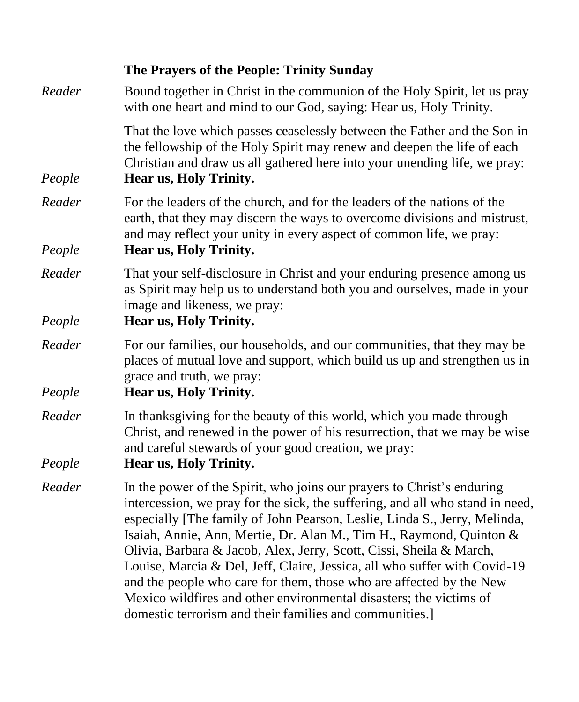|                  | The Prayers of the People: Trinity Sunday                                                                                                                                                                                                                                                                                                                                                                                                                                                                                              |
|------------------|----------------------------------------------------------------------------------------------------------------------------------------------------------------------------------------------------------------------------------------------------------------------------------------------------------------------------------------------------------------------------------------------------------------------------------------------------------------------------------------------------------------------------------------|
| Reader           | Bound together in Christ in the communion of the Holy Spirit, let us pray<br>with one heart and mind to our God, saying: Hear us, Holy Trinity.                                                                                                                                                                                                                                                                                                                                                                                        |
| People           | That the love which passes ceaselessly between the Father and the Son in<br>the fellowship of the Holy Spirit may renew and deepen the life of each<br>Christian and draw us all gathered here into your unending life, we pray:<br>Hear us, Holy Trinity.                                                                                                                                                                                                                                                                             |
| Reader<br>People | For the leaders of the church, and for the leaders of the nations of the<br>earth, that they may discern the ways to overcome divisions and mistrust,<br>and may reflect your unity in every aspect of common life, we pray:<br>Hear us, Holy Trinity.                                                                                                                                                                                                                                                                                 |
| Reader<br>People | That your self-disclosure in Christ and your enduring presence among us<br>as Spirit may help us to understand both you and ourselves, made in your<br>image and likeness, we pray:<br>Hear us, Holy Trinity.                                                                                                                                                                                                                                                                                                                          |
| Reader<br>People | For our families, our households, and our communities, that they may be<br>places of mutual love and support, which build us up and strengthen us in<br>grace and truth, we pray:<br>Hear us, Holy Trinity.                                                                                                                                                                                                                                                                                                                            |
| Reader<br>People | In thanksgiving for the beauty of this world, which you made through<br>Christ, and renewed in the power of his resurrection, that we may be wise<br>and careful stewards of your good creation, we pray:<br>Hear us, Holy Trinity.                                                                                                                                                                                                                                                                                                    |
| Reader           | In the power of the Spirit, who joins our prayers to Christ's enduring<br>intercession, we pray for the sick, the suffering, and all who stand in need,<br>especially [The family of John Pearson, Leslie, Linda S., Jerry, Melinda,<br>Isaiah, Annie, Ann, Mertie, Dr. Alan M., Tim H., Raymond, Quinton &<br>Olivia, Barbara & Jacob, Alex, Jerry, Scott, Cissi, Sheila & March,<br>Louise, Marcia & Del, Jeff, Claire, Jessica, all who suffer with Covid-19<br>and the people who care for them, those who are affected by the New |
|                  | Mexico wildfires and other environmental disasters; the victims of<br>domestic terrorism and their families and communities.]                                                                                                                                                                                                                                                                                                                                                                                                          |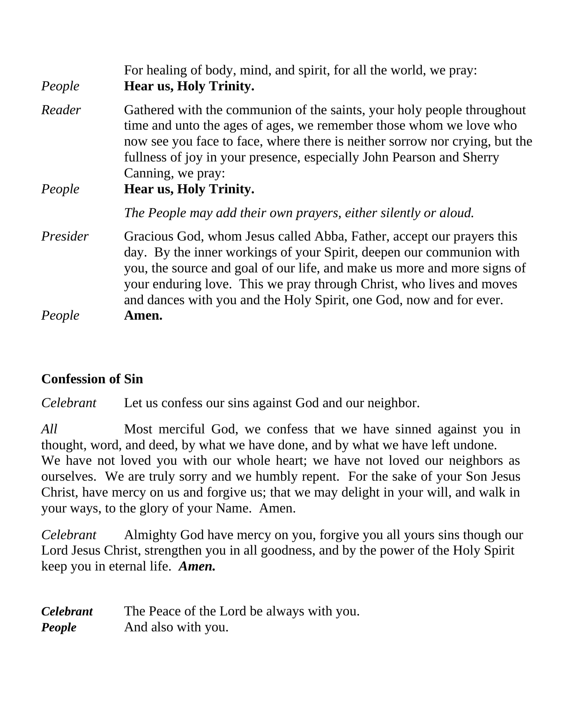| People   | For healing of body, mind, and spirit, for all the world, we pray:<br>Hear us, Holy Trinity.                                                                                                                                                                                                                                                                             |
|----------|--------------------------------------------------------------------------------------------------------------------------------------------------------------------------------------------------------------------------------------------------------------------------------------------------------------------------------------------------------------------------|
| Reader   | Gathered with the communion of the saints, your holy people throughout<br>time and unto the ages of ages, we remember those whom we love who<br>now see you face to face, where there is neither sorrow nor crying, but the<br>fullness of joy in your presence, especially John Pearson and Sherry<br>Canning, we pray:                                                 |
| People   | Hear us, Holy Trinity.                                                                                                                                                                                                                                                                                                                                                   |
|          | The People may add their own prayers, either silently or aloud.                                                                                                                                                                                                                                                                                                          |
| Presider | Gracious God, whom Jesus called Abba, Father, accept our prayers this<br>day. By the inner workings of your Spirit, deepen our communion with<br>you, the source and goal of our life, and make us more and more signs of<br>your enduring love. This we pray through Christ, who lives and moves<br>and dances with you and the Holy Spirit, one God, now and for ever. |
| People   | Amen.                                                                                                                                                                                                                                                                                                                                                                    |

#### **Confession of Sin**

*Celebrant* Let us confess our sins against God and our neighbor.

*All* Most merciful God, we confess that we have sinned against you in thought, word, and deed, by what we have done, and by what we have left undone. We have not loved you with our whole heart; we have not loved our neighbors as ourselves. We are truly sorry and we humbly repent. For the sake of your Son Jesus Christ, have mercy on us and forgive us; that we may delight in your will, and walk in your ways, to the glory of your Name. Amen.

*Celebrant* Almighty God have mercy on you, forgive you all yours sins though our Lord Jesus Christ, strengthen you in all goodness, and by the power of the Holy Spirit keep you in eternal life. *Amen.*

| <b>Celebrant</b> | The Peace of the Lord be always with you. |
|------------------|-------------------------------------------|
| People           | And also with you.                        |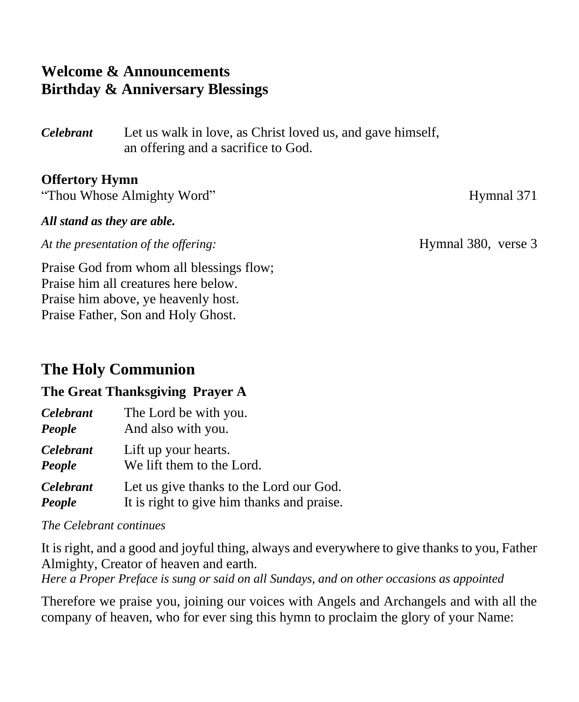## **Welcome & Announcements Birthday & Anniversary Blessings**

*Celebrant* Let us walk in love, as Christ loved us, and gave himself, an offering and a sacrifice to God.

#### **Offertory Hymn**

"Thou Whose Almighty Word" **Hymnal** 371

#### *All stand as they are able.*

At the presentation of the offering: The *according series* 3 and 4380, verse 3

Praise God from whom all blessings flow; Praise him all creatures here below. Praise him above, ye heavenly host. Praise Father, Son and Holy Ghost.

## **The Holy Communion**

#### **The Great Thanksgiving Prayer A**

| <b>Celebrant</b>           | The Lord be with you.                             |
|----------------------------|---------------------------------------------------|
| People                     | And also with you.                                |
| <b>Celebrant</b><br>People | Lift up your hearts.<br>We lift them to the Lord. |
| <b>Celebrant</b>           | Let us give thanks to the Lord our God.           |
| People                     | It is right to give him thanks and praise.        |

#### *The Celebrant continues*

It is right, and a good and joyful thing, always and everywhere to give thanks to you, Father Almighty, Creator of heaven and earth.

*Here a Proper Preface is sung or said on all Sundays, and on other occasions as appointed*

Therefore we praise you, joining our voices with Angels and Archangels and with all the company of heaven, who for ever sing this hymn to proclaim the glory of your Name: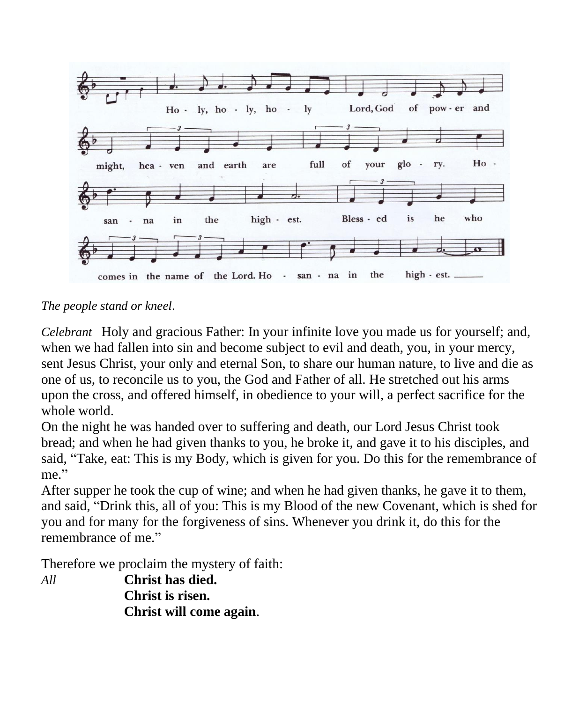

*The people stand or kneel*.

*Celebrant* Holy and gracious Father: In your infinite love you made us for yourself; and, when we had fallen into sin and become subject to evil and death, you, in your mercy, sent Jesus Christ, your only and eternal Son, to share our human nature, to live and die as one of us, to reconcile us to you, the God and Father of all. He stretched out his arms upon the cross, and offered himself, in obedience to your will, a perfect sacrifice for the whole world.

On the night he was handed over to suffering and death, our Lord Jesus Christ took bread; and when he had given thanks to you, he broke it, and gave it to his disciples, and said, "Take, eat: This is my Body, which is given for you. Do this for the remembrance of me."

After supper he took the cup of wine; and when he had given thanks, he gave it to them, and said, "Drink this, all of you: This is my Blood of the new Covenant, which is shed for you and for many for the forgiveness of sins. Whenever you drink it, do this for the remembrance of me."

Therefore we proclaim the mystery of faith:

*All* **Christ has died. Christ is risen. Christ will come again**.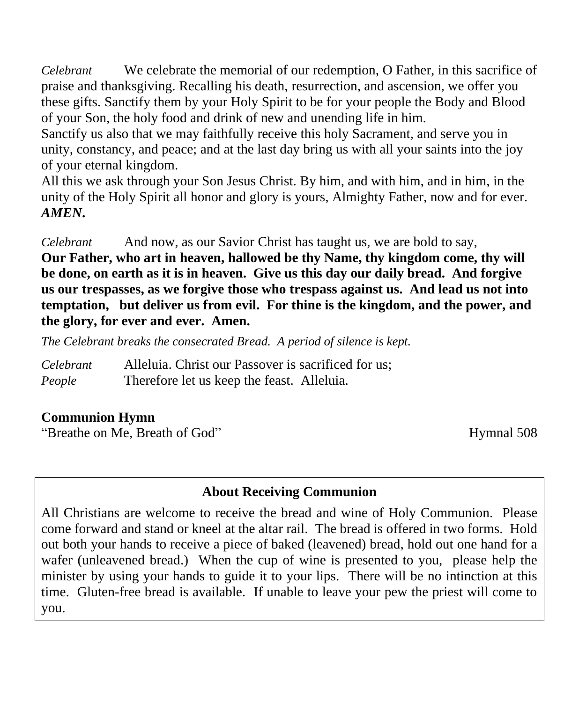*Celebrant* We celebrate the memorial of our redemption, O Father, in this sacrifice of praise and thanksgiving. Recalling his death, resurrection, and ascension, we offer you these gifts. Sanctify them by your Holy Spirit to be for your people the Body and Blood of your Son, the holy food and drink of new and unending life in him.

Sanctify us also that we may faithfully receive this holy Sacrament, and serve you in unity, constancy, and peace; and at the last day bring us with all your saints into the joy of your eternal kingdom.

All this we ask through your Son Jesus Christ. By him, and with him, and in him, in the unity of the Holy Spirit all honor and glory is yours, Almighty Father, now and for ever. *AMEN***.** 

*Celebrant* And now, as our Savior Christ has taught us, we are bold to say, **Our Father, who art in heaven, hallowed be thy Name, thy kingdom come, thy will be done, on earth as it is in heaven. Give us this day our daily bread. And forgive us our trespasses, as we forgive those who trespass against us. And lead us not into temptation, but deliver us from evil. For thine is the kingdom, and the power, and the glory, for ever and ever. Amen.**

*The Celebrant breaks the consecrated Bread. A period of silence is kept.*

*Celebrant* Alleluia. Christ our Passover is sacrificed for us; *People* Therefore let us keep the feast. Alleluia.

### **Communion Hymn**

"Breathe on Me, Breath of God" Hymnal 508

### **About Receiving Communion**

All Christians are welcome to receive the bread and wine of Holy Communion. Please come forward and stand or kneel at the altar rail. The bread is offered in two forms. Hold out both your hands to receive a piece of baked (leavened) bread, hold out one hand for a wafer (unleavened bread.) When the cup of wine is presented to you, please help the minister by using your hands to guide it to your lips. There will be no intinction at this time. Gluten-free bread is available. If unable to leave your pew the priest will come to you.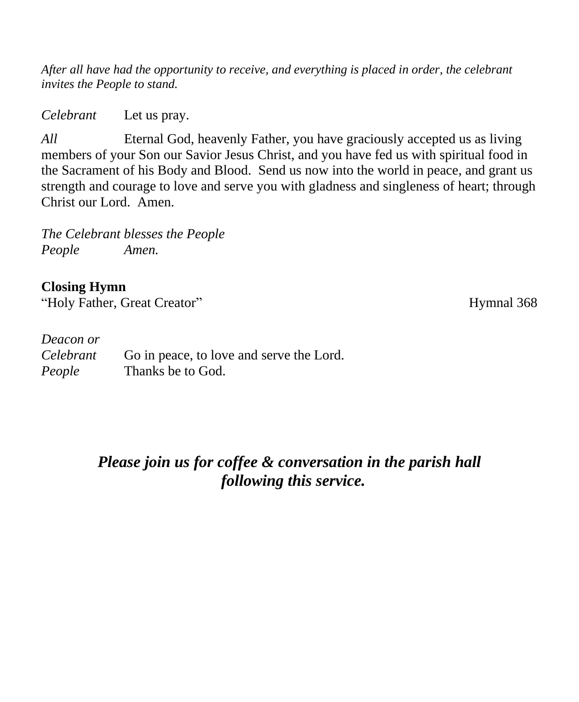*After all have had the opportunity to receive, and everything is placed in order, the celebrant invites the People to stand.*

*Celebrant* Let us pray.

*All* **Eternal God, heavenly Father, you have graciously accepted us as living** members of your Son our Savior Jesus Christ, and you have fed us with spiritual food in the Sacrament of his Body and Blood. Send us now into the world in peace, and grant us strength and courage to love and serve you with gladness and singleness of heart; through Christ our Lord. Amen.

*The Celebrant blesses the People People Amen.*

**Closing Hymn** "Holy Father, Great Creator" Hymnal 368

*Deacon or Celebrant* Go in peace, to love and serve the Lord. *People* Thanks be to God.

## *Please join us for coffee & conversation in the parish hall following this service.*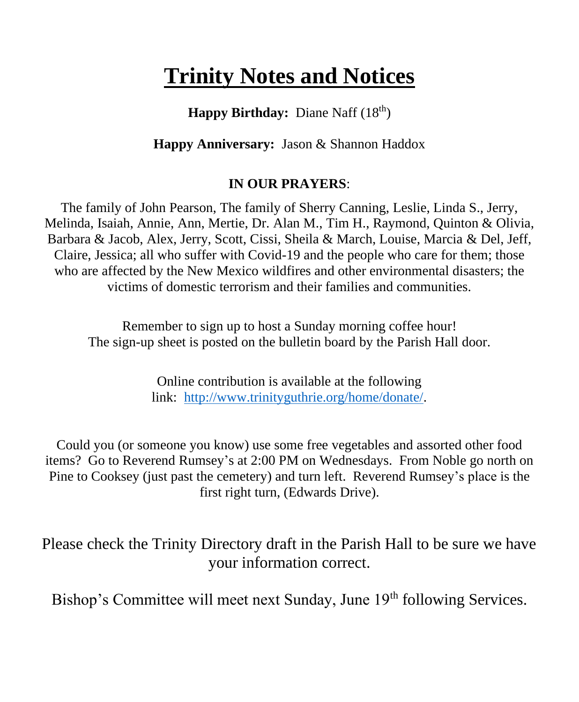# **Trinity Notes and Notices**

**Happy Birthday:** Diane Naff (18<sup>th</sup>)

**Happy Anniversary:** Jason & Shannon Haddox

#### **IN OUR PRAYERS**:

The family of John Pearson, The family of Sherry Canning, Leslie, Linda S., Jerry, Melinda, Isaiah, Annie, Ann, Mertie, Dr. Alan M., Tim H., Raymond, Quinton & Olivia, Barbara & Jacob, Alex, Jerry, Scott, Cissi, Sheila & March, Louise, Marcia & Del, Jeff, Claire, Jessica; all who suffer with Covid-19 and the people who care for them; those who are affected by the New Mexico wildfires and other environmental disasters; the victims of domestic terrorism and their families and communities.

Remember to sign up to host a Sunday morning coffee hour! The sign-up sheet is posted on the bulletin board by the Parish Hall door.

> Online contribution is available at the following link: [http://www.trinityguthrie.org/home/donate/.](http://www.trinityguthrie.org/home/donate/)

Could you (or someone you know) use some free vegetables and assorted other food items? Go to Reverend Rumsey's at 2:00 PM on Wednesdays. From Noble go north on Pine to Cooksey (just past the cemetery) and turn left. Reverend Rumsey's place is the first right turn, (Edwards Drive).

Please check the Trinity Directory draft in the Parish Hall to be sure we have your information correct.

Bishop's Committee will meet next Sunday, June 19<sup>th</sup> following Services.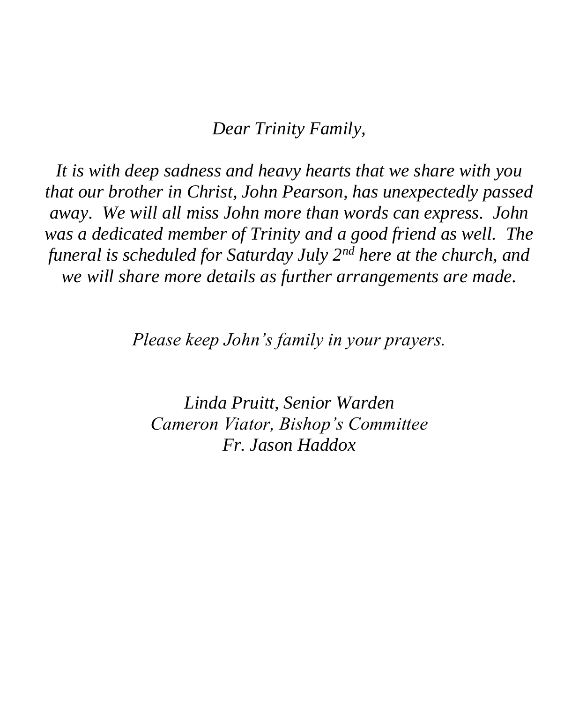## *Dear Trinity Family,*

*It is with deep sadness and heavy hearts that we share with you that our brother in Christ, John Pearson, has unexpectedly passed away. We will all miss John more than words can express. John was a dedicated member of Trinity and a good friend as well. The funeral is scheduled for Saturday July 2nd here at the church, and we will share more details as further arrangements are made.*

*Please keep John's family in your prayers.*

*Linda Pruitt, Senior Warden Cameron Viator, Bishop's Committee Fr. Jason Haddox*